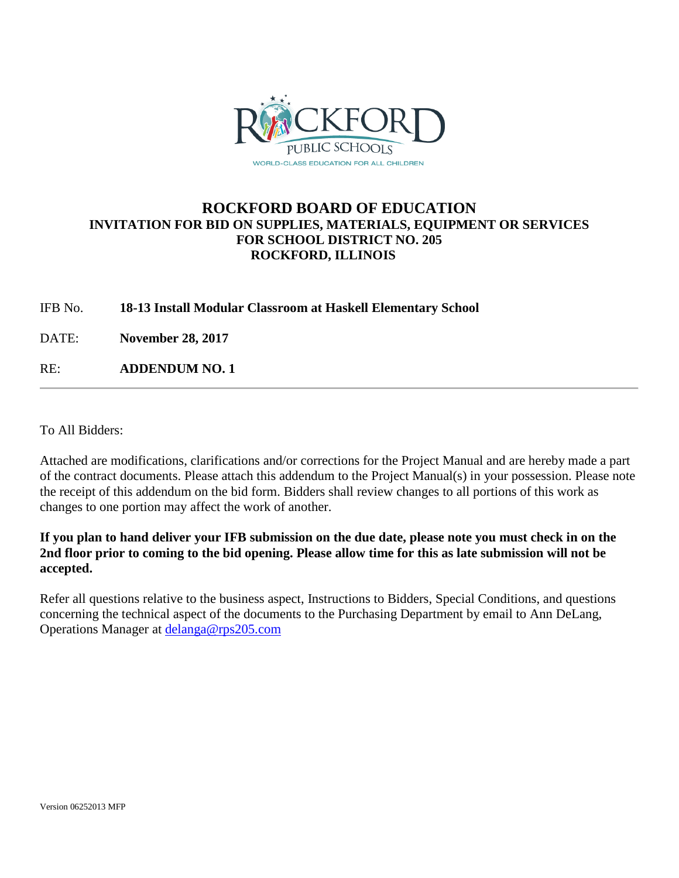

## **ROCKFORD BOARD OF EDUCATION INVITATION FOR BID ON SUPPLIES, MATERIALS, EQUIPMENT OR SERVICES FOR SCHOOL DISTRICT NO. 205 ROCKFORD, ILLINOIS**

IFB No. **18-13 Install Modular Classroom at Haskell Elementary School**

DATE: **November 28, 2017**

RE: **ADDENDUM NO. 1**

To All Bidders:

Attached are modifications, clarifications and/or corrections for the Project Manual and are hereby made a part of the contract documents. Please attach this addendum to the Project Manual(s) in your possession. Please note the receipt of this addendum on the bid form. Bidders shall review changes to all portions of this work as changes to one portion may affect the work of another.

**If you plan to hand deliver your IFB submission on the due date, please note you must check in on the 2nd floor prior to coming to the bid opening. Please allow time for this as late submission will not be accepted.**

Refer all questions relative to the business aspect, Instructions to Bidders, Special Conditions, and questions concerning the technical aspect of the documents to the Purchasing Department by email to Ann DeLang, Operations Manager at [delanga@rps205.com](mailto:delanga@rps205.com)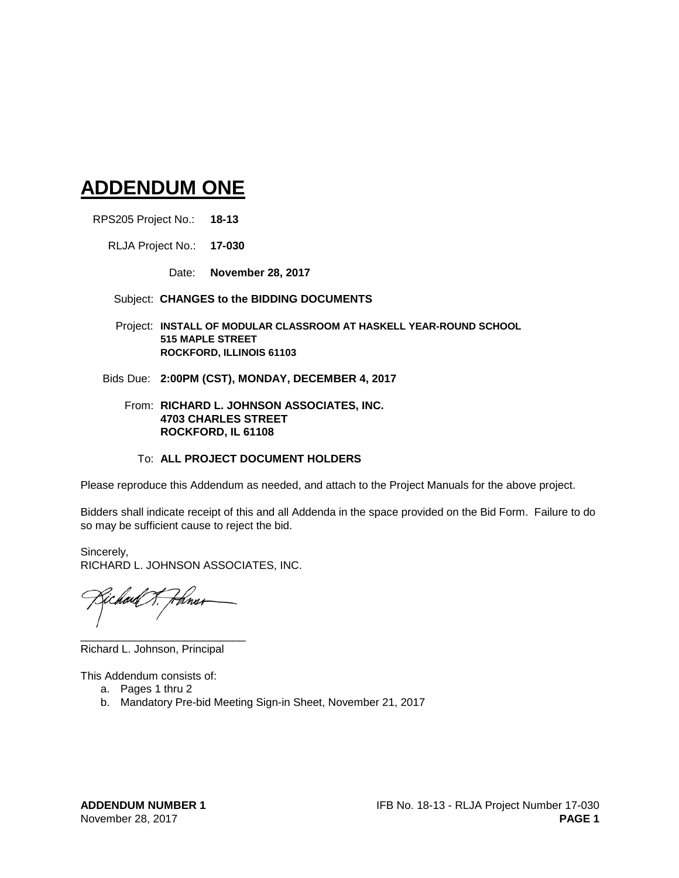# **ADDENDUM ONE**

RPS205 Project No.: **18-13**

RLJA Project No.: **17-030**

Date: **November 28, 2017**

#### Subject: **CHANGES to the BIDDING DOCUMENTS**

Project: **INSTALL OF MODULAR CLASSROOM AT HASKELL YEAR-ROUND SCHOOL 515 MAPLE STREET ROCKFORD, ILLINOIS 61103**

- Bids Due: **2:00PM (CST), MONDAY, DECEMBER 4, 2017**
	- From: **RICHARD L. JOHNSON ASSOCIATES, INC. 4703 CHARLES STREET ROCKFORD, IL 61108**

#### To: **ALL PROJECT DOCUMENT HOLDERS**

Please reproduce this Addendum as needed, and attach to the Project Manuals for the above project.

Bidders shall indicate receipt of this and all Addenda in the space provided on the Bid Form. Failure to do so may be sufficient cause to reject the bid.

Sincerely, RICHARD L. JOHNSON ASSOCIATES, INC.

\_\_\_\_\_\_\_\_\_\_\_\_\_\_\_\_\_\_\_\_\_\_\_\_\_\_\_ Richard L. Johnson, Principal

This Addendum consists of:

- a. Pages 1 thru 2
- b. Mandatory Pre-bid Meeting Sign-in Sheet, November 21, 2017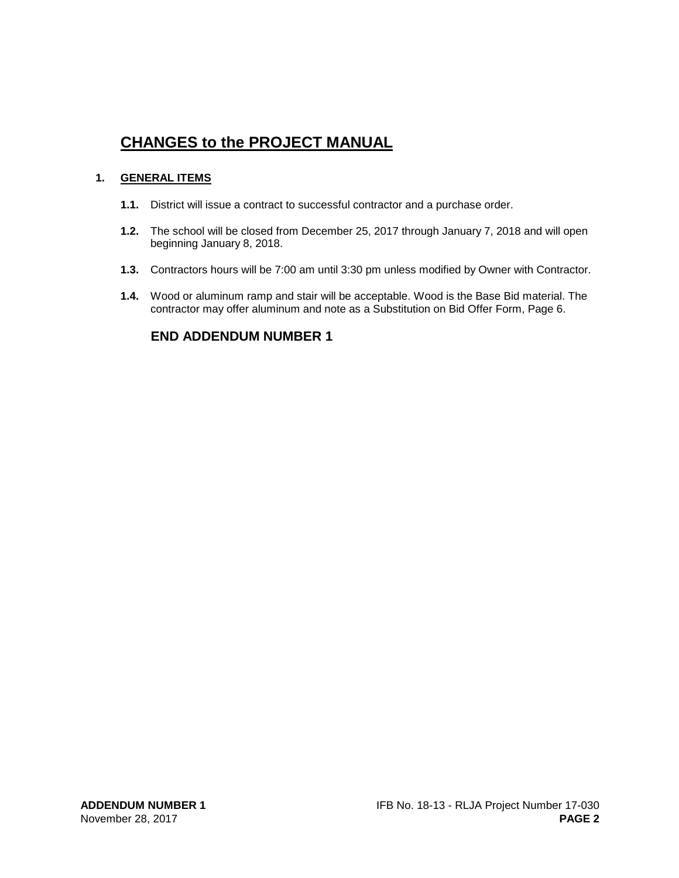# **CHANGES to the PROJECT MANUAL**

#### **1. GENERAL ITEMS**

- **1.1.** District will issue a contract to successful contractor and a purchase order.
- **1.2.** The school will be closed from December 25, 2017 through January 7, 2018 and will open beginning January 8, 2018.
- **1.3.** Contractors hours will be 7:00 am until 3:30 pm unless modified by Owner with Contractor.
- **1.4.** Wood or aluminum ramp and stair will be acceptable. Wood is the Base Bid material. The contractor may offer aluminum and note as a Substitution on Bid Offer Form, Page 6.

## **END ADDENDUM NUMBER 1**